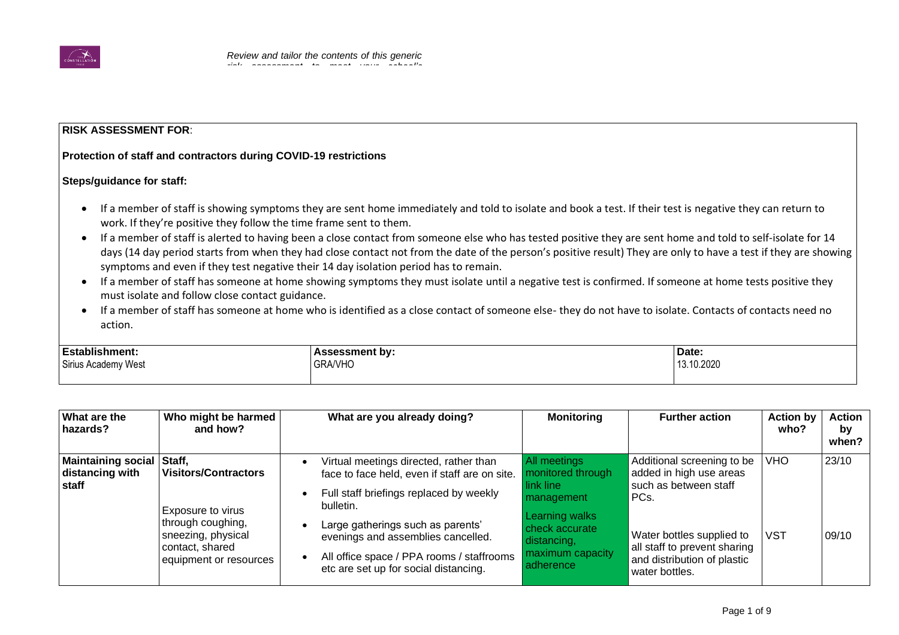

*necessary?' column. You may also want to* 

## **RISK ASSESSMENT FOR**:

## **Protection of staff and contractors during COVID-19 restrictions** *findings and actions required to reduce risk*

## **Steps/guidance for staff:**

- If a member of staff is showing symptoms they are sent home immediately and told to isolate and book a test. If their test is negative they can return to work. If they're positive they follow the time frame sent to them.
- If a member of staff is alerted to having been a close contact from someone else who has tested positive they are sent home and told to self-isolate for 14 days (14 day period starts from when they had close contact not from the date of the person's positive result) They are only to have a test if they are showing symptoms and even if they test negative their 14 day isolation period has to remain.
- If a member of staff has someone at home showing symptoms they must isolate until a negative test is confirmed. If someone at home tests positive they must isolate and follow close contact guidance.
- If a member of staff has someone at home who is identified as a close contact of someone else- they do not have to isolate. Contacts of contacts need no action.

| <b>Establishment.</b>    | sment by:      | Date:      |
|--------------------------|----------------|------------|
| Sirius Academy<br>/ West | <b>GRA/VHO</b> | 13.10.2020 |
|                          |                |            |

| What are the<br>hazards?                              | Who might be harmed<br>and how?                                                                                                                    | What are you already doing?                                                                                                                                   | <b>Monitoring</b>                                                                | <b>Further action</b>                                                                                      | <b>Action by</b><br>who? | <b>Action</b><br>by<br>when? |
|-------------------------------------------------------|----------------------------------------------------------------------------------------------------------------------------------------------------|---------------------------------------------------------------------------------------------------------------------------------------------------------------|----------------------------------------------------------------------------------|------------------------------------------------------------------------------------------------------------|--------------------------|------------------------------|
| <b>Maintaining social</b><br>distancing with<br>staff | Staff,<br><b>Visitors/Contractors</b><br>Exposure to virus<br>through coughing,<br>sneezing, physical<br>contact, shared<br>equipment or resources | Virtual meetings directed, rather than<br>face to face held, even if staff are on site.<br>Full staff briefings replaced by weekly<br>$\bullet$<br>bulletin.  | All meetings<br>monitored through<br>link line<br>PCs.<br><b>I</b> management    | Additional screening to be<br>added in high use areas<br>such as between staff                             | <b>VHO</b>               | 23/10                        |
|                                                       |                                                                                                                                                    | Large gatherings such as parents'<br>evenings and assemblies cancelled.<br>All office space / PPA rooms / staffrooms<br>etc are set up for social distancing. | Learning walks<br>check accurate<br>distancing,<br>maximum capacity<br>adherence | Water bottles supplied to<br>all staff to prevent sharing<br>and distribution of plastic<br>water bottles. | <b>VST</b>               | 09/10                        |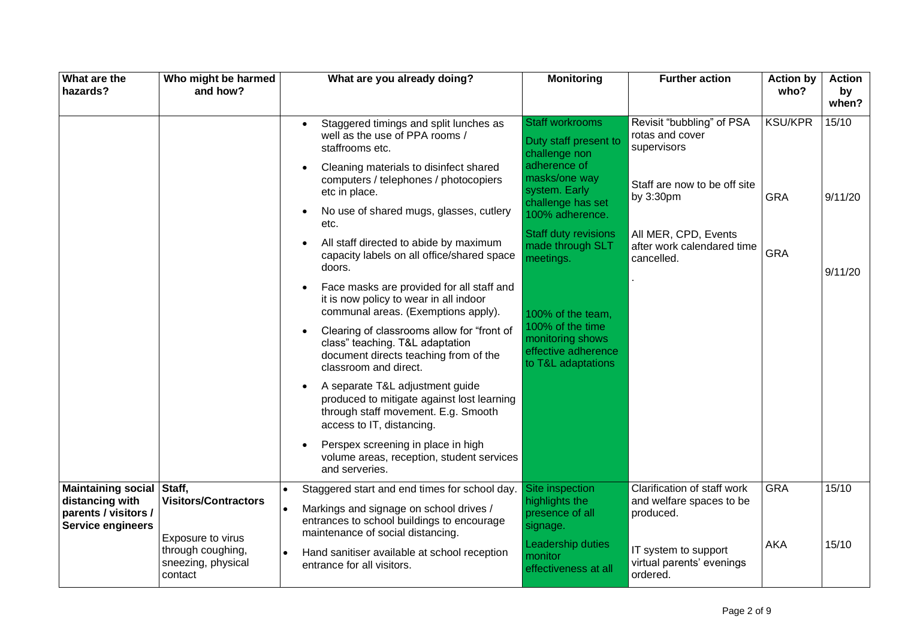| What are the<br>hazards?                                                                         | Who might be harmed<br>and how?                                                                        | What are you already doing?                                                                                                                                                                                                                                                                                                                                                                                                                                                                                                                                                                                                                                                                                                                                                                                                                                                                                                                                                                             | <b>Monitoring</b>                                                                                                                                                                                                                                                                                                                    | <b>Further action</b>                                                                                                                                                        | <b>Action by</b><br>who?                   | <b>Action</b><br>by<br>when? |
|--------------------------------------------------------------------------------------------------|--------------------------------------------------------------------------------------------------------|---------------------------------------------------------------------------------------------------------------------------------------------------------------------------------------------------------------------------------------------------------------------------------------------------------------------------------------------------------------------------------------------------------------------------------------------------------------------------------------------------------------------------------------------------------------------------------------------------------------------------------------------------------------------------------------------------------------------------------------------------------------------------------------------------------------------------------------------------------------------------------------------------------------------------------------------------------------------------------------------------------|--------------------------------------------------------------------------------------------------------------------------------------------------------------------------------------------------------------------------------------------------------------------------------------------------------------------------------------|------------------------------------------------------------------------------------------------------------------------------------------------------------------------------|--------------------------------------------|------------------------------|
|                                                                                                  |                                                                                                        | Staggered timings and split lunches as<br>$\bullet$<br>well as the use of PPA rooms /<br>staffrooms etc.<br>Cleaning materials to disinfect shared<br>$\bullet$<br>computers / telephones / photocopiers<br>etc in place.<br>No use of shared mugs, glasses, cutlery<br>$\bullet$<br>etc.<br>All staff directed to abide by maximum<br>$\bullet$<br>capacity labels on all office/shared space<br>doors.<br>Face masks are provided for all staff and<br>$\bullet$<br>it is now policy to wear in all indoor<br>communal areas. (Exemptions apply).<br>Clearing of classrooms allow for "front of<br>$\bullet$<br>class" teaching. T&L adaptation<br>document directs teaching from of the<br>classroom and direct.<br>A separate T&L adjustment guide<br>$\bullet$<br>produced to mitigate against lost learning<br>through staff movement. E.g. Smooth<br>access to IT, distancing.<br>Perspex screening in place in high<br>$\bullet$<br>volume areas, reception, student services<br>and serveries. | <b>Staff workrooms</b><br>Duty staff present to<br>challenge non<br>adherence of<br>masks/one way<br>system. Early<br>challenge has set<br>100% adherence.<br><b>Staff duty revisions</b><br>made through SLT<br>meetings.<br>100% of the team.<br>100% of the time<br>monitoring shows<br>effective adherence<br>to T&L adaptations | Revisit "bubbling" of PSA<br>rotas and cover<br>supervisors<br>Staff are now to be off site<br>by 3:30pm<br>All MER, CPD, Events<br>after work calendared time<br>cancelled. | <b>KSU/KPR</b><br><b>GRA</b><br><b>GRA</b> | 15/10<br>9/11/20<br>9/11/20  |
| Maintaining social Staff,<br>distancing with<br>parents / visitors /<br><b>Service engineers</b> | <b>Visitors/Contractors</b><br>Exposure to virus<br>through coughing,<br>sneezing, physical<br>contact | Staggered start and end times for school day.<br>Markings and signage on school drives /<br>entrances to school buildings to encourage<br>maintenance of social distancing.<br>Hand sanitiser available at school reception<br>entrance for all visitors.                                                                                                                                                                                                                                                                                                                                                                                                                                                                                                                                                                                                                                                                                                                                               | Site inspection<br>highlights the<br>presence of all<br>signage.<br>Leadership duties<br>monitor<br>effectiveness at all                                                                                                                                                                                                             | Clarification of staff work<br>and welfare spaces to be<br>produced.<br>IT system to support<br>virtual parents' evenings<br>ordered.                                        | <b>GRA</b><br><b>AKA</b>                   | 15/10<br>15/10               |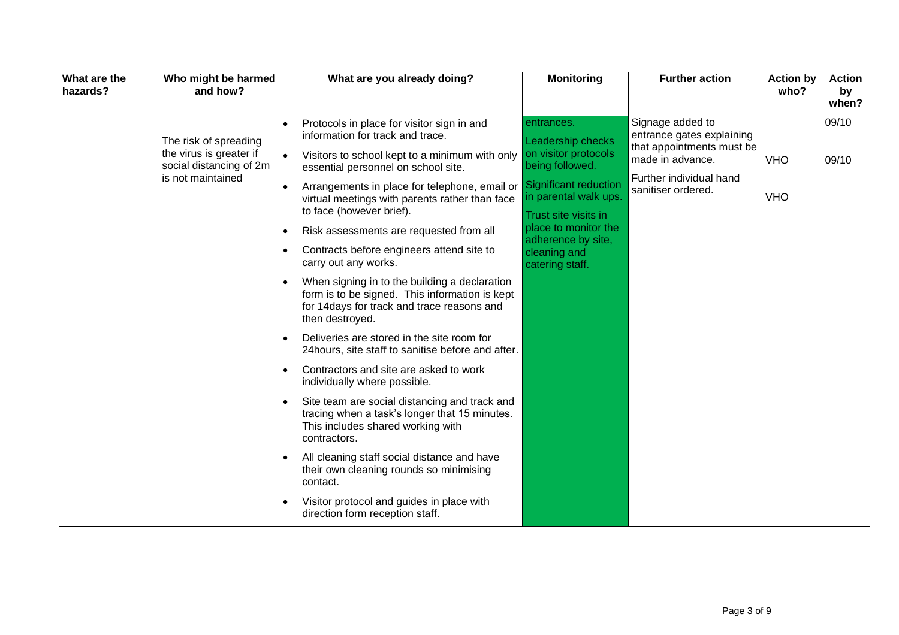| What are the<br>Who might be harmed<br>and how?<br>hazards?                                      | What are you already doing?                                                                                                                                                                                                                                                                                                                                                                                                                                                                                                                                                                                                                                                                                                                                                                                                                                                                                                                                                                                                                                                                                          | <b>Monitoring</b>                                                                                                                                                                                                                                   | <b>Further action</b>                                                                                                                           | <b>Action by</b><br>who? | <b>Action</b><br>by<br>when? |
|--------------------------------------------------------------------------------------------------|----------------------------------------------------------------------------------------------------------------------------------------------------------------------------------------------------------------------------------------------------------------------------------------------------------------------------------------------------------------------------------------------------------------------------------------------------------------------------------------------------------------------------------------------------------------------------------------------------------------------------------------------------------------------------------------------------------------------------------------------------------------------------------------------------------------------------------------------------------------------------------------------------------------------------------------------------------------------------------------------------------------------------------------------------------------------------------------------------------------------|-----------------------------------------------------------------------------------------------------------------------------------------------------------------------------------------------------------------------------------------------------|-------------------------------------------------------------------------------------------------------------------------------------------------|--------------------------|------------------------------|
| The risk of spreading<br>the virus is greater if<br>social distancing of 2m<br>is not maintained | Protocols in place for visitor sign in and<br>information for track and trace.<br>Visitors to school kept to a minimum with only<br>essential personnel on school site.<br>Arrangements in place for telephone, email or<br>virtual meetings with parents rather than face<br>to face (however brief).<br>Risk assessments are requested from all<br>Contracts before engineers attend site to<br>carry out any works.<br>When signing in to the building a declaration<br>form is to be signed. This information is kept<br>for 14days for track and trace reasons and<br>then destroyed.<br>Deliveries are stored in the site room for<br>24hours, site staff to sanitise before and after.<br>Contractors and site are asked to work<br>individually where possible.<br>Site team are social distancing and track and<br>tracing when a task's longer that 15 minutes.<br>This includes shared working with<br>contractors.<br>All cleaning staff social distance and have<br>their own cleaning rounds so minimising<br>contact.<br>Visitor protocol and guides in place with<br>direction form reception staff. | entrances.<br><b>Leadership checks</b><br>on visitor protocols<br>being followed.<br><b>Significant reduction</b><br>in parental walk ups.<br>Trust site visits in<br>place to monitor the<br>adherence by site,<br>cleaning and<br>catering staff. | Signage added to<br>entrance gates explaining<br>that appointments must be<br>made in advance.<br>Further individual hand<br>sanitiser ordered. | <b>VHO</b><br><b>VHO</b> | 09/10<br>09/10               |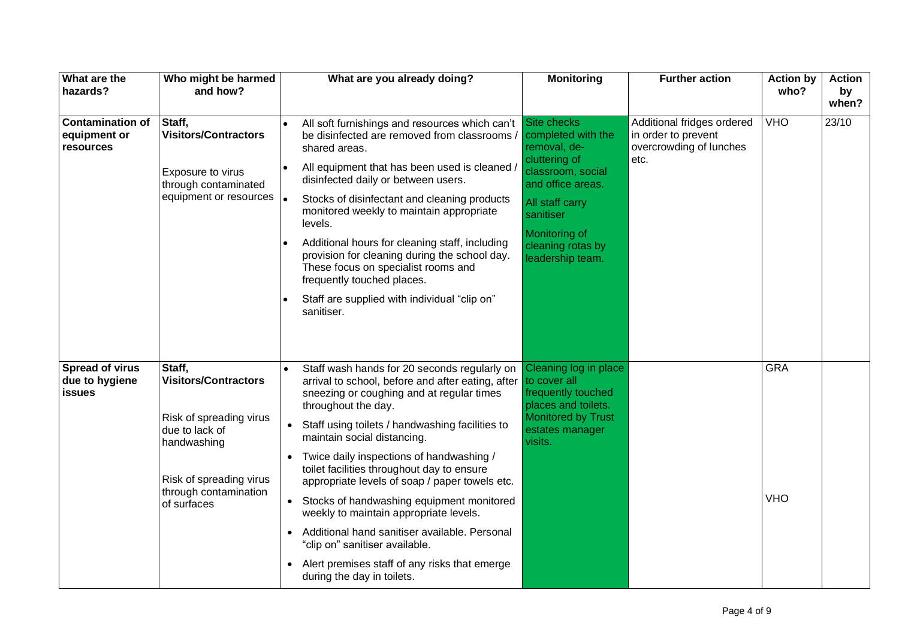| What are the<br>hazards?                                  | Who might be harmed<br>and how?                                                                                                                                      | What are you already doing?<br><b>Monitoring</b><br><b>Further action</b>                                                                                                                                                                                                                                                                                                                                                                                                                                                                                                                                                                                                                                                                                                                                                                            | <b>Action by</b><br>who? | <b>Action</b><br>by<br>when? |
|-----------------------------------------------------------|----------------------------------------------------------------------------------------------------------------------------------------------------------------------|------------------------------------------------------------------------------------------------------------------------------------------------------------------------------------------------------------------------------------------------------------------------------------------------------------------------------------------------------------------------------------------------------------------------------------------------------------------------------------------------------------------------------------------------------------------------------------------------------------------------------------------------------------------------------------------------------------------------------------------------------------------------------------------------------------------------------------------------------|--------------------------|------------------------------|
| <b>Contamination of</b><br>equipment or<br>resources      | Staff,<br><b>Visitors/Contractors</b><br>Exposure to virus<br>through contaminated<br>equipment or resources  .                                                      | Site checks<br>Additional fridges ordered<br>All soft furnishings and resources which can't<br>be disinfected are removed from classrooms<br>completed with the<br>in order to prevent<br>removal, de-<br>overcrowding of lunches<br>shared areas.<br>cluttering of<br>etc.<br>All equipment that has been used is cleaned /<br>classroom, social<br>disinfected daily or between users.<br>and office areas.<br>Stocks of disinfectant and cleaning products<br>All staff carry<br>monitored weekly to maintain appropriate<br>sanitiser<br>levels.<br>Monitoring of<br>Additional hours for cleaning staff, including<br>cleaning rotas by<br>provision for cleaning during the school day.<br>leadership team.<br>These focus on specialist rooms and<br>frequently touched places.<br>Staff are supplied with individual "clip on"<br>sanitiser. | <b>VHO</b>               | 23/10                        |
| <b>Spread of virus</b><br>due to hygiene<br><b>issues</b> | Staff,<br><b>Visitors/Contractors</b><br>Risk of spreading virus<br>due to lack of<br>handwashing<br>Risk of spreading virus<br>through contamination<br>of surfaces | Cleaning log in place<br>Staff wash hands for 20 seconds regularly on<br>arrival to school, before and after eating, after<br>to cover all<br>frequently touched<br>sneezing or coughing and at regular times<br>places and toilets.<br>throughout the day.<br><b>Monitored by Trust</b><br>Staff using toilets / handwashing facilities to<br>estates manager<br>maintain social distancing.<br>visits.<br>Twice daily inspections of handwashing /<br>toilet facilities throughout day to ensure<br>appropriate levels of soap / paper towels etc.<br>Stocks of handwashing equipment monitored<br>$\bullet$<br>weekly to maintain appropriate levels.<br>Additional hand sanitiser available. Personal<br>"clip on" sanitiser available.<br>Alert premises staff of any risks that emerge<br>$\bullet$<br>during the day in toilets.              | <b>GRA</b><br><b>VHO</b> |                              |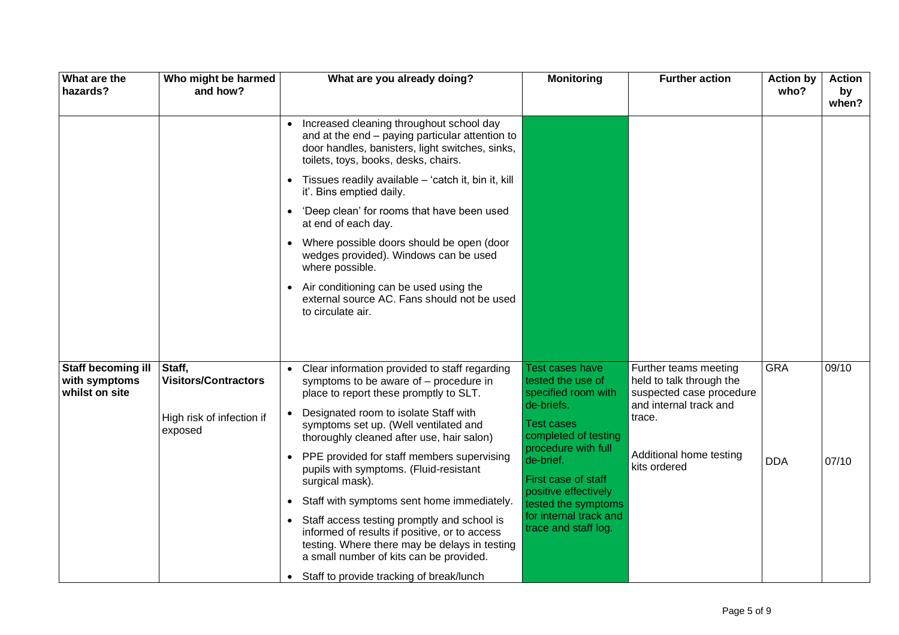| What are the<br>hazards?                                     | Who might be harmed<br>and how?       | What are you already doing?                                                                                                                                                                           | <b>Monitoring</b>                                                  | <b>Further action</b>                                                         | <b>Action by</b><br>who? | <b>Action</b><br>by<br>when? |
|--------------------------------------------------------------|---------------------------------------|-------------------------------------------------------------------------------------------------------------------------------------------------------------------------------------------------------|--------------------------------------------------------------------|-------------------------------------------------------------------------------|--------------------------|------------------------------|
|                                                              |                                       | Increased cleaning throughout school day<br>$\bullet$<br>and at the end - paying particular attention to<br>door handles, banisters, light switches, sinks,<br>toilets, toys, books, desks, chairs.   |                                                                    |                                                                               |                          |                              |
|                                                              |                                       | • Tissues readily available - 'catch it, bin it, kill<br>it'. Bins emptied daily.                                                                                                                     |                                                                    |                                                                               |                          |                              |
|                                                              |                                       | 'Deep clean' for rooms that have been used<br>$\bullet$<br>at end of each day.                                                                                                                        |                                                                    |                                                                               |                          |                              |
|                                                              |                                       | • Where possible doors should be open (door<br>wedges provided). Windows can be used<br>where possible.                                                                                               |                                                                    |                                                                               |                          |                              |
|                                                              |                                       | Air conditioning can be used using the<br>$\bullet$<br>external source AC. Fans should not be used<br>to circulate air.                                                                               |                                                                    |                                                                               |                          |                              |
|                                                              |                                       |                                                                                                                                                                                                       |                                                                    |                                                                               |                          |                              |
| <b>Staff becoming ill</b><br>with symptoms<br>whilst on site | Staff,<br><b>Visitors/Contractors</b> | Clear information provided to staff regarding<br>symptoms to be aware of - procedure in<br>place to report these promptly to SLT.                                                                     | <b>Test cases have</b><br>tested the use of<br>specified room with | Further teams meeting<br>held to talk through the<br>suspected case procedure | <b>GRA</b>               | 09/10                        |
|                                                              | High risk of infection if<br>exposed  | • Designated room to isolate Staff with<br>symptoms set up. (Well ventilated and<br>thoroughly cleaned after use, hair salon)                                                                         | de-briefs.<br><b>Test cases</b><br>completed of testing            | and internal track and<br>trace.                                              |                          |                              |
|                                                              |                                       | • PPE provided for staff members supervising<br>pupils with symptoms. (Fluid-resistant<br>surgical mask).                                                                                             | procedure with full<br>de-brief.<br>First case of staff            | Additional home testing<br>kits ordered                                       | <b>DDA</b>               | 07/10                        |
|                                                              |                                       | Staff with symptoms sent home immediately.<br>$\bullet$                                                                                                                                               | positive effectively<br>tested the symptoms                        |                                                                               |                          |                              |
|                                                              |                                       | Staff access testing promptly and school is<br>$\bullet$<br>informed of results if positive, or to access<br>testing. Where there may be delays in testing<br>a small number of kits can be provided. | for internal track and<br>trace and staff log.                     |                                                                               |                          |                              |
|                                                              |                                       | Staff to provide tracking of break/lunch<br>$\bullet$                                                                                                                                                 |                                                                    |                                                                               |                          |                              |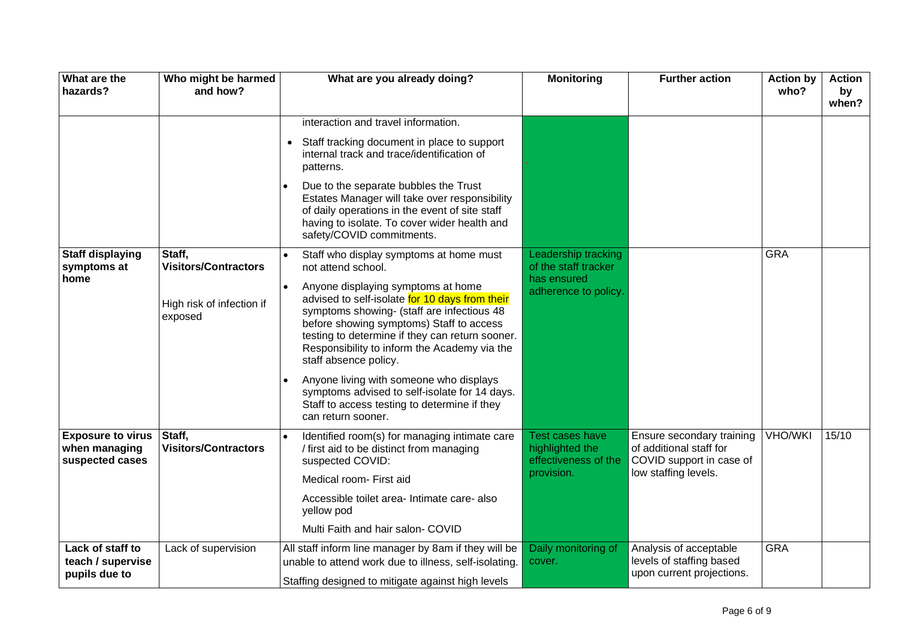| What are the<br>hazards?                                     | Who might be harmed<br>and how?       | What are you already doing?                                                                                                                                                                                                                                                                                | <b>Monitoring</b>                                                        | <b>Further action</b>                                                                                    | <b>Action by</b><br>who? | <b>Action</b><br>by<br>when? |
|--------------------------------------------------------------|---------------------------------------|------------------------------------------------------------------------------------------------------------------------------------------------------------------------------------------------------------------------------------------------------------------------------------------------------------|--------------------------------------------------------------------------|----------------------------------------------------------------------------------------------------------|--------------------------|------------------------------|
|                                                              |                                       | interaction and travel information.                                                                                                                                                                                                                                                                        |                                                                          |                                                                                                          |                          |                              |
|                                                              |                                       | Staff tracking document in place to support<br>$\bullet$<br>internal track and trace/identification of<br>patterns.                                                                                                                                                                                        |                                                                          |                                                                                                          |                          |                              |
|                                                              |                                       | Due to the separate bubbles the Trust<br>Estates Manager will take over responsibility<br>of daily operations in the event of site staff<br>having to isolate. To cover wider health and<br>safety/COVID commitments.                                                                                      |                                                                          |                                                                                                          |                          |                              |
| <b>Staff displaying</b><br>symptoms at                       | Staff,<br><b>Visitors/Contractors</b> | Staff who display symptoms at home must<br>not attend school.                                                                                                                                                                                                                                              | Leadership tracking<br>of the staff tracker                              |                                                                                                          | <b>GRA</b>               |                              |
| home                                                         | High risk of infection if<br>exposed  | Anyone displaying symptoms at home<br>advised to self-isolate for 10 days from their<br>symptoms showing- (staff are infectious 48<br>before showing symptoms) Staff to access<br>testing to determine if they can return sooner.<br>Responsibility to inform the Academy via the<br>staff absence policy. | has ensured<br>adherence to policy.                                      |                                                                                                          |                          |                              |
|                                                              |                                       | Anyone living with someone who displays<br>symptoms advised to self-isolate for 14 days.<br>Staff to access testing to determine if they<br>can return sooner.                                                                                                                                             |                                                                          |                                                                                                          |                          |                              |
| <b>Exposure to virus</b><br>when managing<br>suspected cases | Staff,<br><b>Visitors/Contractors</b> | Identified room(s) for managing intimate care<br>/ first aid to be distinct from managing<br>suspected COVID:<br>Medical room- First aid                                                                                                                                                                   | Test cases have<br>highlighted the<br>effectiveness of the<br>provision. | Ensure secondary training<br>of additional staff for<br>COVID support in case of<br>low staffing levels. | <b>VHO/WKI</b>           | 15/10                        |
|                                                              |                                       | Accessible toilet area- Intimate care- also<br>yellow pod<br>Multi Faith and hair salon- COVID                                                                                                                                                                                                             |                                                                          |                                                                                                          |                          |                              |
| Lack of staff to<br>teach / supervise<br>pupils due to       | Lack of supervision                   | All staff inform line manager by 8am if they will be<br>unable to attend work due to illness, self-isolating.<br>Staffing designed to mitigate against high levels                                                                                                                                         | Daily monitoring of<br>cover.                                            | Analysis of acceptable<br>levels of staffing based<br>upon current projections.                          | <b>GRA</b>               |                              |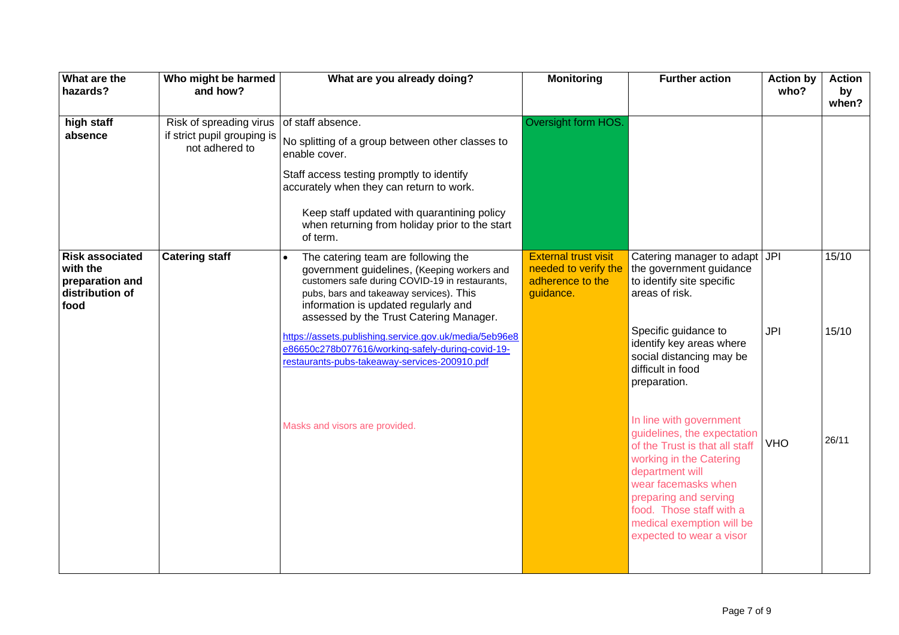| What are the<br>hazards?                                                         | Who might be harmed<br>and how?                                          | What are you already doing?                                                                                                                                                                                                                                                                                                                                                                                                        | <b>Monitoring</b>                                                                    | <b>Further action</b>                                                                                                                                                                                                                                                       | <b>Action by</b><br>who? | <b>Action</b><br>by<br>when? |
|----------------------------------------------------------------------------------|--------------------------------------------------------------------------|------------------------------------------------------------------------------------------------------------------------------------------------------------------------------------------------------------------------------------------------------------------------------------------------------------------------------------------------------------------------------------------------------------------------------------|--------------------------------------------------------------------------------------|-----------------------------------------------------------------------------------------------------------------------------------------------------------------------------------------------------------------------------------------------------------------------------|--------------------------|------------------------------|
| high staff<br>absence                                                            | Risk of spreading virus<br>if strict pupil grouping is<br>not adhered to | of staff absence.<br>No splitting of a group between other classes to<br>enable cover.<br>Staff access testing promptly to identify<br>accurately when they can return to work.<br>Keep staff updated with quarantining policy<br>when returning from holiday prior to the start<br>of term.                                                                                                                                       | Oversight form HOS.                                                                  |                                                                                                                                                                                                                                                                             |                          |                              |
| <b>Risk associated</b><br>with the<br>preparation and<br>distribution of<br>food | <b>Catering staff</b>                                                    | The catering team are following the<br>government guidelines, (Keeping workers and<br>customers safe during COVID-19 in restaurants,<br>pubs, bars and takeaway services). This<br>information is updated regularly and<br>assessed by the Trust Catering Manager.<br>https://assets.publishing.service.gov.uk/media/5eb96e8<br>e86650c278b077616/working-safely-during-covid-19-<br>restaurants-pubs-takeaway-services-200910.pdf | <b>External trust visit</b><br>needed to verify the<br>adherence to the<br>guidance. | Catering manager to adapt JPI<br>the government guidance<br>to identify site specific<br>areas of risk.<br>Specific guidance to<br>identify key areas where<br>social distancing may be<br>difficult in food<br>preparation.                                                | JPI                      | 15/10<br>15/10               |
|                                                                                  |                                                                          | Masks and visors are provided.                                                                                                                                                                                                                                                                                                                                                                                                     |                                                                                      | In line with government<br>guidelines, the expectation<br>of the Trust is that all staff<br>working in the Catering<br>department will<br>wear facemasks when<br>preparing and serving<br>food. Those staff with a<br>medical exemption will be<br>expected to wear a visor | <b>VHO</b>               | 26/11                        |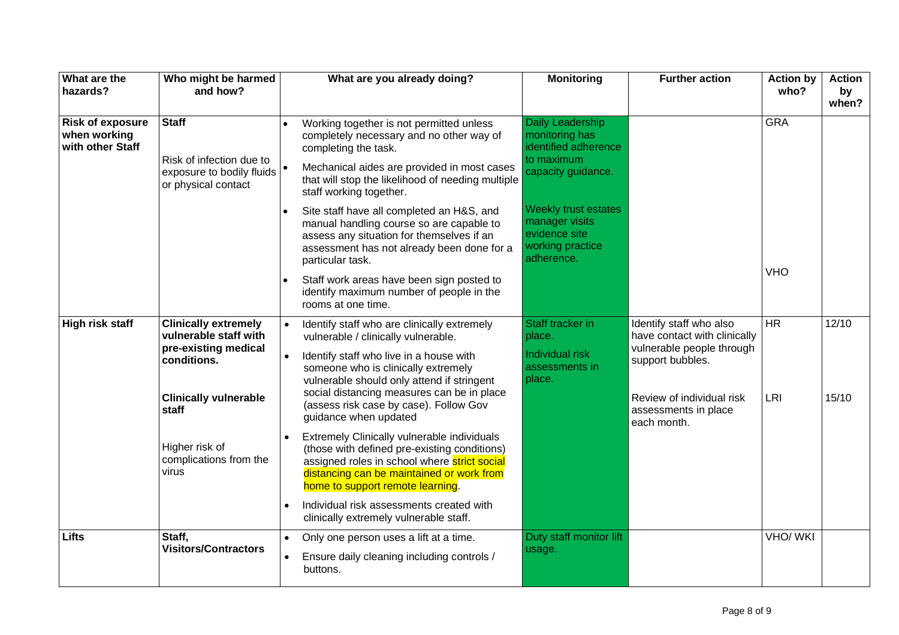| What are the<br>hazards?                                    | Who might be harmed<br>and how?                                                             |           | What are you already doing?                                                                                                                                                                                                  | <b>Monitoring</b>                                                                         | <b>Further action</b>                                                                                    | <b>Action by</b><br>who? | <b>Action</b><br>by<br>when? |
|-------------------------------------------------------------|---------------------------------------------------------------------------------------------|-----------|------------------------------------------------------------------------------------------------------------------------------------------------------------------------------------------------------------------------------|-------------------------------------------------------------------------------------------|----------------------------------------------------------------------------------------------------------|--------------------------|------------------------------|
| <b>Risk of exposure</b><br>when working<br>with other Staff | <b>Staff</b>                                                                                |           | Working together is not permitted unless<br>completely necessary and no other way of<br>completing the task.                                                                                                                 | Daily Leadership<br>monitoring has<br>identified adherence                                |                                                                                                          | <b>GRA</b>               |                              |
|                                                             | Risk of infection due to<br>exposure to bodily fluids<br>or physical contact                |           | Mechanical aides are provided in most cases<br>that will stop the likelihood of needing multiple<br>staff working together.                                                                                                  | to maximum<br>capacity guidance.                                                          |                                                                                                          |                          |                              |
|                                                             |                                                                                             |           | Site staff have all completed an H&S, and<br>manual handling course so are capable to<br>assess any situation for themselves if an<br>assessment has not already been done for a<br>particular task.                         | Weekly trust estates<br>manager visits<br>evidence site<br>working practice<br>adherence. |                                                                                                          |                          |                              |
|                                                             |                                                                                             |           | Staff work areas have been sign posted to<br>identify maximum number of people in the<br>rooms at one time.                                                                                                                  |                                                                                           |                                                                                                          | <b>VHO</b>               |                              |
| <b>High risk staff</b>                                      | <b>Clinically extremely</b><br>vulnerable staff with<br>pre-existing medical<br>conditions. | $\bullet$ | Identify staff who are clinically extremely<br>vulnerable / clinically vulnerable.<br>Identify staff who live in a house with<br>someone who is clinically extremely<br>vulnerable should only attend if stringent           | Staff tracker in<br>place.<br>Individual risk<br>assessments in<br>place.                 | Identify staff who also<br>have contact with clinically<br>vulnerable people through<br>support bubbles. | $\overline{HR}$          | 12/10                        |
|                                                             | <b>Clinically vulnerable</b><br>staff                                                       |           | social distancing measures can be in place<br>(assess risk case by case). Follow Gov<br>guidance when updated                                                                                                                |                                                                                           | Review of individual risk<br>assessments in place<br>each month.                                         | <b>LRI</b>               | 15/10                        |
|                                                             | Higher risk of<br>complications from the<br>virus                                           |           | Extremely Clinically vulnerable individuals<br>(those with defined pre-existing conditions)<br>assigned roles in school where strict social<br>distancing can be maintained or work from<br>home to support remote learning. |                                                                                           |                                                                                                          |                          |                              |
|                                                             |                                                                                             |           | Individual risk assessments created with<br>clinically extremely vulnerable staff.                                                                                                                                           |                                                                                           |                                                                                                          |                          |                              |
| <b>Lifts</b>                                                | Staff,<br><b>Visitors/Contractors</b>                                                       | $\bullet$ | Only one person uses a lift at a time.<br>Ensure daily cleaning including controls /<br>buttons.                                                                                                                             | Duty staff monitor lift<br>usage.                                                         |                                                                                                          | VHO/ WKI                 |                              |